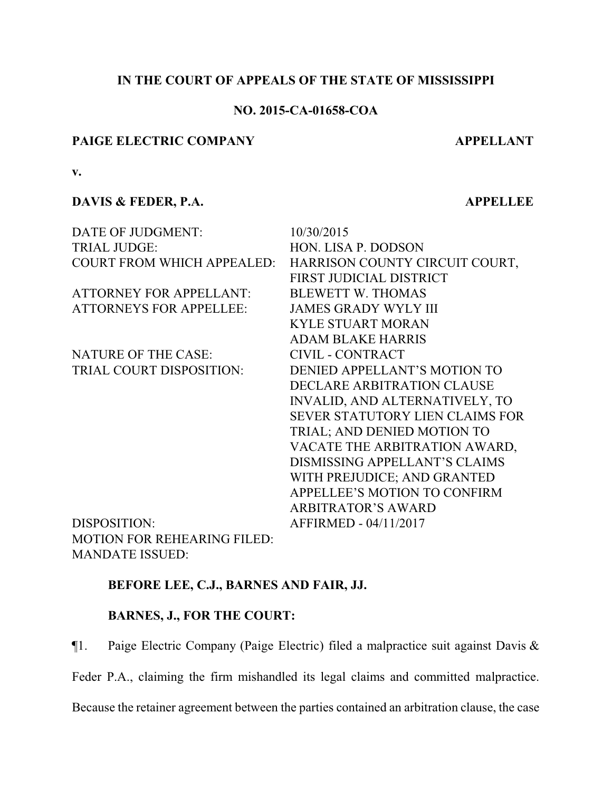## **IN THE COURT OF APPEALS OF THE STATE OF MISSISSIPPI**

## **NO. 2015-CA-01658-COA**

### **PAIGE ELECTRIC COMPANY APPELLANT**

**v.**

## **DAVIS & FEDER, P.A. APPELLEE**

| DATE OF JUDGMENT:                 | 10/30/2015                             |
|-----------------------------------|----------------------------------------|
| <b>TRIAL JUDGE:</b>               | HON. LISA P. DODSON                    |
| <b>COURT FROM WHICH APPEALED:</b> | HARRISON COUNTY CIRCUIT COURT,         |
|                                   | FIRST JUDICIAL DISTRICT                |
| <b>ATTORNEY FOR APPELLANT:</b>    | <b>BLEWETT W. THOMAS</b>               |
| <b>ATTORNEYS FOR APPELLEE:</b>    | <b>JAMES GRADY WYLY III</b>            |
|                                   | <b>KYLE STUART MORAN</b>               |
|                                   | <b>ADAM BLAKE HARRIS</b>               |
| <b>NATURE OF THE CASE:</b>        | CIVIL - CONTRACT                       |
| TRIAL COURT DISPOSITION:          | DENIED APPELLANT'S MOTION TO           |
|                                   | DECLARE ARBITRATION CLAUSE             |
|                                   | INVALID, AND ALTERNATIVELY, TO         |
|                                   | <b>SEVER STATUTORY LIEN CLAIMS FOR</b> |
|                                   | TRIAL; AND DENIED MOTION TO            |
|                                   | VACATE THE ARBITRATION AWARD,          |
|                                   | <b>DISMISSING APPELLANT'S CLAIMS</b>   |
|                                   | WITH PREJUDICE; AND GRANTED            |
|                                   | APPELLEE'S MOTION TO CONFIRM           |
|                                   | <b>ARBITRATOR'S AWARD</b>              |
| <b>DISPOSITION:</b>               | AFFIRMED - 04/11/2017                  |
| MOTION FOR REHEARING EII ED.      |                                        |

DISPOSITION: MOTION FOR REHEARING FILED: MANDATE ISSUED:

# **BEFORE LEE, C.J., BARNES AND FAIR, JJ.**

## **BARNES, J., FOR THE COURT:**

¶1. Paige Electric Company (Paige Electric) filed a malpractice suit against Davis &

Feder P.A., claiming the firm mishandled its legal claims and committed malpractice.

Because the retainer agreement between the parties contained an arbitration clause, the case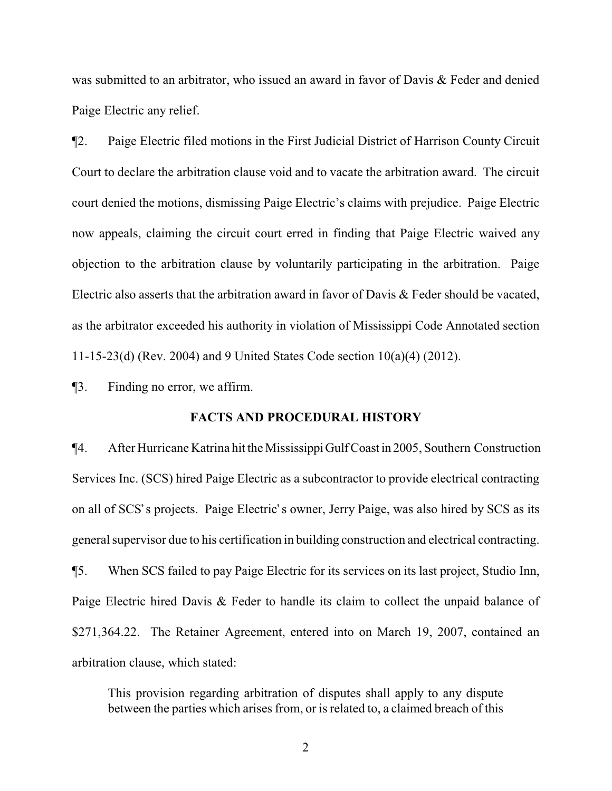was submitted to an arbitrator, who issued an award in favor of Davis & Feder and denied Paige Electric any relief.

¶2. Paige Electric filed motions in the First Judicial District of Harrison County Circuit Court to declare the arbitration clause void and to vacate the arbitration award. The circuit court denied the motions, dismissing Paige Electric's claims with prejudice. Paige Electric now appeals, claiming the circuit court erred in finding that Paige Electric waived any objection to the arbitration clause by voluntarily participating in the arbitration. Paige Electric also asserts that the arbitration award in favor of Davis & Feder should be vacated, as the arbitrator exceeded his authority in violation of Mississippi Code Annotated section 11-15-23(d) (Rev. 2004) and 9 United States Code section 10(a)(4) (2012).

¶3. Finding no error, we affirm.

#### **FACTS AND PROCEDURAL HISTORY**

¶4. After Hurricane Katrina hit the MississippiGulf Coastin 2005, Southern Construction Services Inc. (SCS) hired Paige Electric as a subcontractor to provide electrical contracting on all of SCS's projects. Paige Electric's owner, Jerry Paige, was also hired by SCS as its general supervisor due to his certification in building construction and electrical contracting. ¶5. When SCS failed to pay Paige Electric for its services on its last project, Studio Inn, Paige Electric hired Davis & Feder to handle its claim to collect the unpaid balance of \$271,364.22. The Retainer Agreement, entered into on March 19, 2007, contained an arbitration clause, which stated:

This provision regarding arbitration of disputes shall apply to any dispute between the parties which arises from, or is related to, a claimed breach of this

2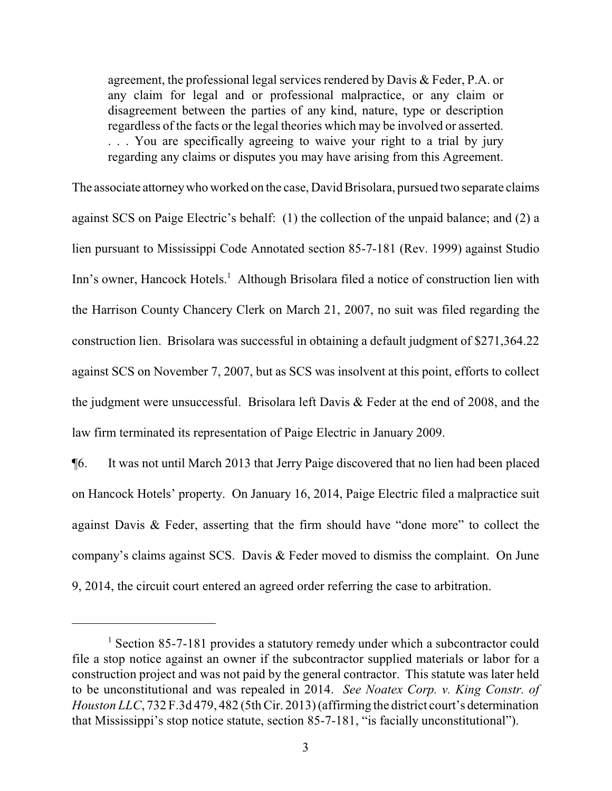agreement, the professional legal services rendered by Davis & Feder, P.A. or any claim for legal and or professional malpractice, or any claim or disagreement between the parties of any kind, nature, type or description regardless of the facts or the legal theories which may be involved or asserted. . . . You are specifically agreeing to waive your right to a trial by jury regarding any claims or disputes you may have arising from this Agreement.

The associate attorneywho worked on the case, David Brisolara, pursued two separate claims against SCS on Paige Electric's behalf: (1) the collection of the unpaid balance; and (2) a lien pursuant to Mississippi Code Annotated section 85-7-181 (Rev. 1999) against Studio Inn's owner, Hancock Hotels.<sup>1</sup> Although Brisolara filed a notice of construction lien with the Harrison County Chancery Clerk on March 21, 2007, no suit was filed regarding the construction lien. Brisolara was successful in obtaining a default judgment of \$271,364.22 against SCS on November 7, 2007, but as SCS was insolvent at this point, efforts to collect the judgment were unsuccessful. Brisolara left Davis & Feder at the end of 2008, and the law firm terminated its representation of Paige Electric in January 2009.

¶6. It was not until March 2013 that Jerry Paige discovered that no lien had been placed on Hancock Hotels' property. On January 16, 2014, Paige Electric filed a malpractice suit against Davis & Feder, asserting that the firm should have "done more" to collect the company's claims against SCS. Davis & Feder moved to dismiss the complaint. On June 9, 2014, the circuit court entered an agreed order referring the case to arbitration.

<sup>&</sup>lt;sup>1</sup> Section 85-7-181 provides a statutory remedy under which a subcontractor could file a stop notice against an owner if the subcontractor supplied materials or labor for a construction project and was not paid by the general contractor. This statute was later held to be unconstitutional and was repealed in 2014. *See Noatex Corp. v. King Constr. of Houston LLC*, 732 F.3d 479, 482 (5thCir. 2013)(affirming the district court's determination that Mississippi's stop notice statute, section 85-7-181, "is facially unconstitutional").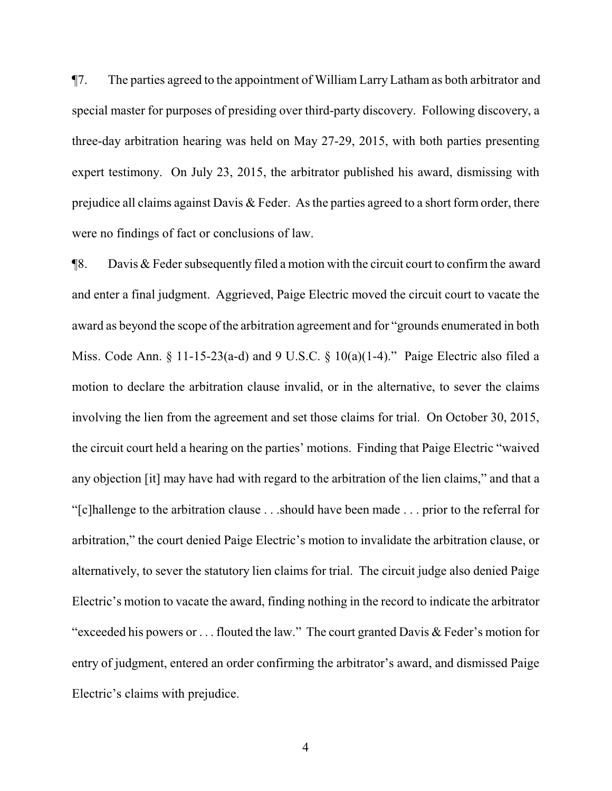¶7. The parties agreed to the appointment of William LarryLatham as both arbitrator and special master for purposes of presiding over third-party discovery. Following discovery, a three-day arbitration hearing was held on May 27-29, 2015, with both parties presenting expert testimony. On July 23, 2015, the arbitrator published his award, dismissing with prejudice all claims against Davis & Feder. As the parties agreed to a short form order, there were no findings of fact or conclusions of law.

¶8. Davis & Feder subsequently filed a motion with the circuit court to confirm the award and enter a final judgment. Aggrieved, Paige Electric moved the circuit court to vacate the award as beyond the scope of the arbitration agreement and for "grounds enumerated in both Miss. Code Ann. § 11-15-23(a-d) and 9 U.S.C. § 10(a)(1-4)." Paige Electric also filed a motion to declare the arbitration clause invalid, or in the alternative, to sever the claims involving the lien from the agreement and set those claims for trial. On October 30, 2015, the circuit court held a hearing on the parties' motions. Finding that Paige Electric "waived any objection [it] may have had with regard to the arbitration of the lien claims," and that a "[c]hallenge to the arbitration clause . . .should have been made . . . prior to the referral for arbitration," the court denied Paige Electric's motion to invalidate the arbitration clause, or alternatively, to sever the statutory lien claims for trial. The circuit judge also denied Paige Electric's motion to vacate the award, finding nothing in the record to indicate the arbitrator "exceeded his powers or . . . flouted the law." The court granted Davis & Feder's motion for entry of judgment, entered an order confirming the arbitrator's award, and dismissed Paige Electric's claims with prejudice.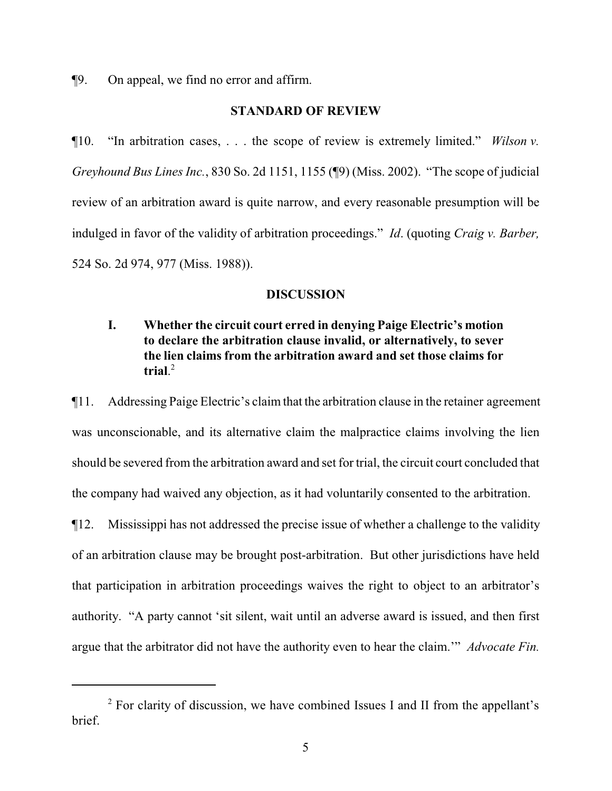¶9. On appeal, we find no error and affirm.

### **STANDARD OF REVIEW**

¶10. "In arbitration cases, . . . the scope of review is extremely limited." *Wilson v. Greyhound Bus Lines Inc.*, 830 So. 2d 1151, 1155 (¶9) (Miss. 2002). "The scope of judicial review of an arbitration award is quite narrow, and every reasonable presumption will be indulged in favor of the validity of arbitration proceedings." *Id*. (quoting *Craig v. Barber,* 524 So. 2d 974, 977 (Miss. 1988)).

#### **DISCUSSION**

# **I. Whether the circuit court erred in denying Paige Electric's motion to declare the arbitration clause invalid, or alternatively, to sever the lien claims from the arbitration award and set those claims for trial**. 2

¶11. Addressing Paige Electric's claimthat the arbitration clause in the retainer agreement was unconscionable, and its alternative claim the malpractice claims involving the lien should be severed from the arbitration award and set for trial, the circuit court concluded that the company had waived any objection, as it had voluntarily consented to the arbitration.

¶12. Mississippi has not addressed the precise issue of whether a challenge to the validity of an arbitration clause may be brought post-arbitration. But other jurisdictions have held that participation in arbitration proceedings waives the right to object to an arbitrator's authority. "A party cannot 'sit silent, wait until an adverse award is issued, and then first argue that the arbitrator did not have the authority even to hear the claim.'" *Advocate Fin.*

<sup>&</sup>lt;sup>2</sup> For clarity of discussion, we have combined Issues I and II from the appellant's brief.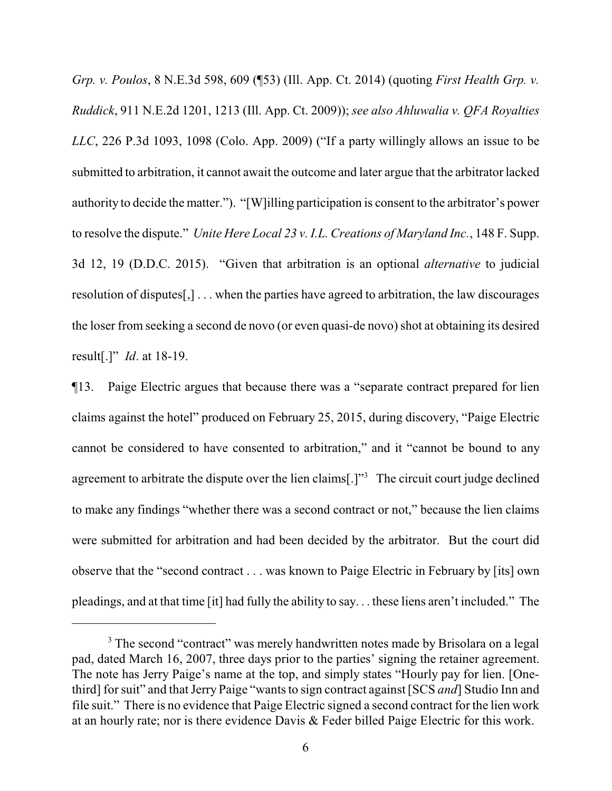*Grp. v. Poulos*, 8 N.E.3d 598, 609 (¶53) (Ill. App. Ct. 2014) (quoting *First Health Grp. v. Ruddick*, 911 N.E.2d 1201, 1213 (Ill. App. Ct. 2009)); *see also Ahluwalia v. QFA Royalties LLC*, 226 P.3d 1093, 1098 (Colo. App. 2009) ("If a party willingly allows an issue to be submitted to arbitration, it cannot await the outcome and later argue that the arbitrator lacked authority to decide the matter."). "[W]illing participation is consent to the arbitrator's power to resolve the dispute." *Unite Here Local 23 v. I.L. Creations of Maryland Inc.*, 148 F. Supp. 3d 12, 19 (D.D.C. 2015). "Given that arbitration is an optional *alternative* to judicial resolution of disputes[,] . . . when the parties have agreed to arbitration, the law discourages the loser from seeking a second de novo (or even quasi-de novo) shot at obtaining its desired result[.]" *Id*. at 18-19.

¶13. Paige Electric argues that because there was a "separate contract prepared for lien claims against the hotel" produced on February 25, 2015, during discovery, "Paige Electric cannot be considered to have consented to arbitration," and it "cannot be bound to any agreement to arbitrate the dispute over the lien claims[.]<sup>3</sup> The circuit court judge declined to make any findings "whether there was a second contract or not," because the lien claims were submitted for arbitration and had been decided by the arbitrator. But the court did observe that the "second contract . . . was known to Paige Electric in February by [its] own pleadings, and at that time [it] had fully the ability to say. . . these liens aren't included." The

<sup>&</sup>lt;sup>3</sup> The second "contract" was merely handwritten notes made by Brisolara on a legal pad, dated March 16, 2007, three days prior to the parties' signing the retainer agreement. The note has Jerry Paige's name at the top, and simply states "Hourly pay for lien. [Onethird] for suit" and that Jerry Paige "wants to sign contract against [SCS *and*] Studio Inn and file suit." There is no evidence that Paige Electric signed a second contract for the lien work at an hourly rate; nor is there evidence Davis & Feder billed Paige Electric for this work.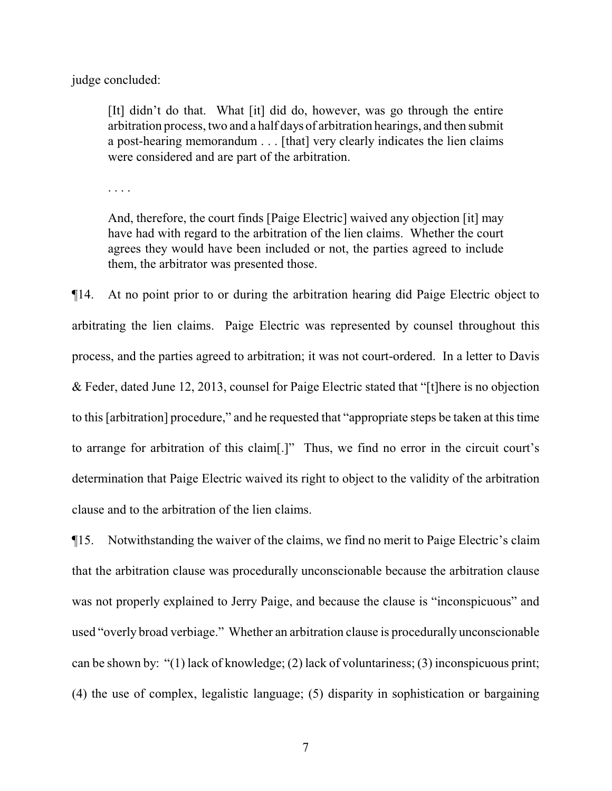judge concluded:

[It] didn't do that. What [it] did do, however, was go through the entire arbitration process, two and a half days of arbitration hearings, and then submit a post-hearing memorandum . . . [that] very clearly indicates the lien claims were considered and are part of the arbitration.

. . . .

And, therefore, the court finds [Paige Electric] waived any objection [it] may have had with regard to the arbitration of the lien claims. Whether the court agrees they would have been included or not, the parties agreed to include them, the arbitrator was presented those.

¶14. At no point prior to or during the arbitration hearing did Paige Electric object to arbitrating the lien claims. Paige Electric was represented by counsel throughout this process, and the parties agreed to arbitration; it was not court-ordered. In a letter to Davis & Feder, dated June 12, 2013, counsel for Paige Electric stated that "[t]here is no objection to this [arbitration] procedure," and he requested that "appropriate steps be taken at this time to arrange for arbitration of this claim[.]" Thus, we find no error in the circuit court's determination that Paige Electric waived its right to object to the validity of the arbitration clause and to the arbitration of the lien claims.

¶15. Notwithstanding the waiver of the claims, we find no merit to Paige Electric's claim that the arbitration clause was procedurally unconscionable because the arbitration clause was not properly explained to Jerry Paige, and because the clause is "inconspicuous" and used "overly broad verbiage." Whether an arbitration clause is procedurally unconscionable can be shown by: "(1) lack of knowledge; (2) lack of voluntariness; (3) inconspicuous print; (4) the use of complex, legalistic language; (5) disparity in sophistication or bargaining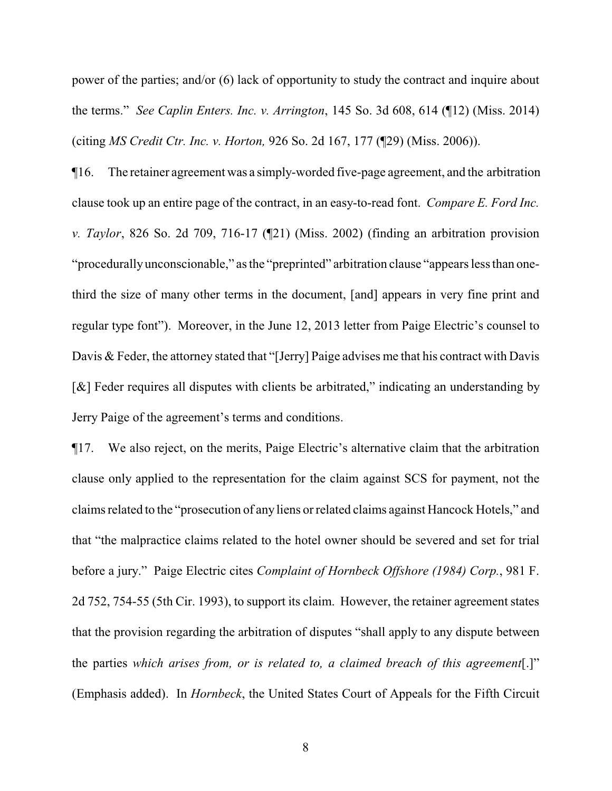power of the parties; and/or (6) lack of opportunity to study the contract and inquire about the terms." *See Caplin Enters. Inc. v. Arrington*, 145 So. 3d 608, 614 (¶12) (Miss. 2014) (citing *MS Credit Ctr. Inc. v. Horton,* 926 So. 2d 167, 177 (¶29) (Miss. 2006)).

¶16. The retainer agreement was a simply-worded five-page agreement, and the arbitration clause took up an entire page of the contract, in an easy-to-read font. *Compare E. Ford Inc. v. Taylor*, 826 So. 2d 709, 716-17 (¶21) (Miss. 2002) (finding an arbitration provision "procedurallyunconscionable," as the "preprinted" arbitration clause "appears less than onethird the size of many other terms in the document, [and] appears in very fine print and regular type font"). Moreover, in the June 12, 2013 letter from Paige Electric's counsel to Davis & Feder, the attorney stated that "[Jerry] Paige advises me that his contract with Davis [&] Feder requires all disputes with clients be arbitrated," indicating an understanding by Jerry Paige of the agreement's terms and conditions.

¶17. We also reject, on the merits, Paige Electric's alternative claim that the arbitration clause only applied to the representation for the claim against SCS for payment, not the claims related to the "prosecution of any liens or related claims against Hancock Hotels," and that "the malpractice claims related to the hotel owner should be severed and set for trial before a jury." Paige Electric cites *Complaint of Hornbeck Offshore (1984) Corp.*, 981 F. 2d 752, 754-55 (5th Cir. 1993), to support its claim. However, the retainer agreement states that the provision regarding the arbitration of disputes "shall apply to any dispute between the parties *which arises from, or is related to, a claimed breach of this agreement*[.]" (Emphasis added). In *Hornbeck*, the United States Court of Appeals for the Fifth Circuit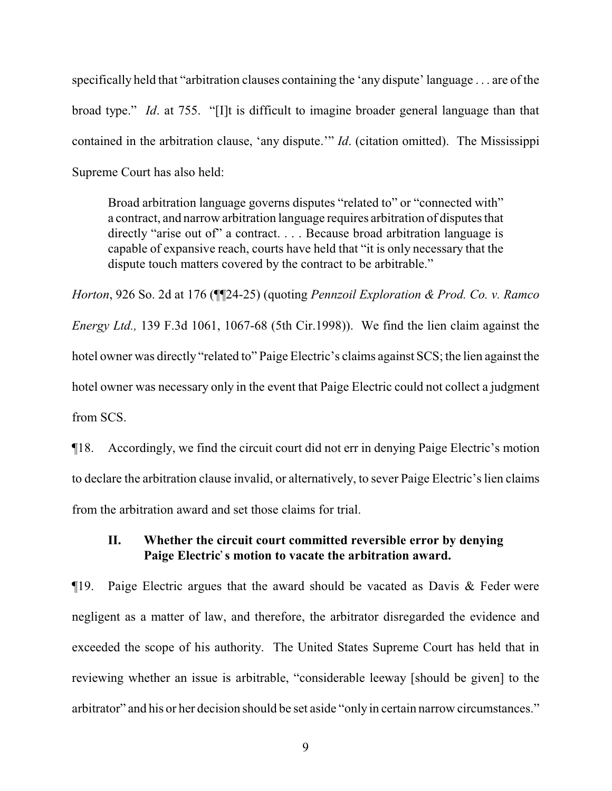specifically held that "arbitration clauses containing the 'any dispute' language . . . are of the broad type." *Id*. at 755. "[I]t is difficult to imagine broader general language than that contained in the arbitration clause, 'any dispute.'" *Id*. (citation omitted). The Mississippi Supreme Court has also held:

Broad arbitration language governs disputes "related to" or "connected with" a contract, and narrow arbitration language requires arbitration of disputes that directly "arise out of" a contract. . . . Because broad arbitration language is capable of expansive reach, courts have held that "it is only necessary that the dispute touch matters covered by the contract to be arbitrable."

*Horton*, 926 So. 2d at 176 (¶¶24-25) (quoting *Pennzoil Exploration & Prod. Co. v. Ramco Energy Ltd.,* 139 F.3d 1061, 1067-68 (5th Cir.1998)). We find the lien claim against the hotel owner was directly "related to" Paige Electric's claims against SCS; the lien against the hotel owner was necessary only in the event that Paige Electric could not collect a judgment from SCS.

¶18. Accordingly, we find the circuit court did not err in denying Paige Electric's motion to declare the arbitration clause invalid, or alternatively, to sever Paige Electric's lien claims from the arbitration award and set those claims for trial.

## **II. Whether the circuit court committed reversible error by denying** Paige Electric's motion to vacate the arbitration award.

¶19. Paige Electric argues that the award should be vacated as Davis & Feder were negligent as a matter of law, and therefore, the arbitrator disregarded the evidence and exceeded the scope of his authority. The United States Supreme Court has held that in reviewing whether an issue is arbitrable, "considerable leeway [should be given] to the arbitrator" and his or her decision should be set aside "only in certain narrow circumstances."

9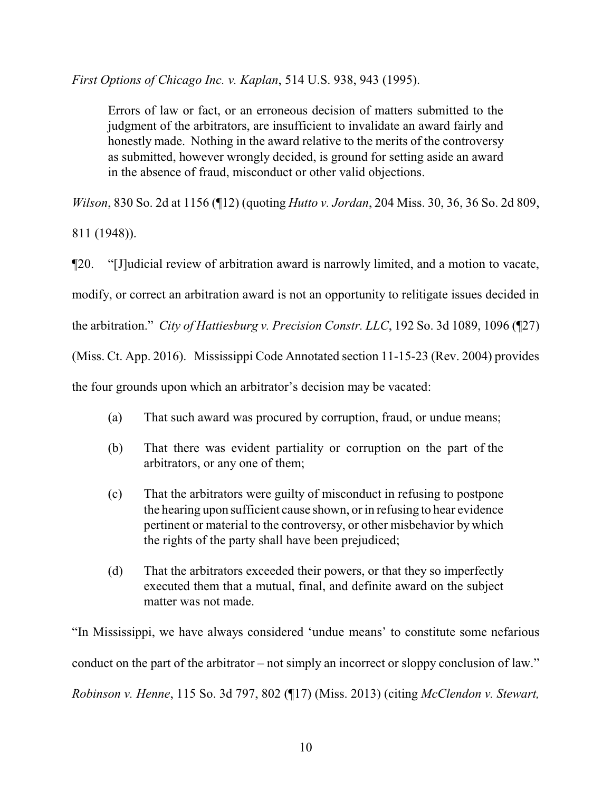*First Options of Chicago Inc. v. Kaplan*, 514 U.S. 938, 943 (1995).

Errors of law or fact, or an erroneous decision of matters submitted to the judgment of the arbitrators, are insufficient to invalidate an award fairly and honestly made. Nothing in the award relative to the merits of the controversy as submitted, however wrongly decided, is ground for setting aside an award in the absence of fraud, misconduct or other valid objections.

*Wilson*, 830 So. 2d at 1156 (¶12) (quoting *Hutto v. Jordan*, 204 Miss. 30, 36, 36 So. 2d 809,

811 (1948)).

¶20. "[J]udicial review of arbitration award is narrowly limited, and a motion to vacate, modify, or correct an arbitration award is not an opportunity to relitigate issues decided in the arbitration." *City of Hattiesburg v. Precision Constr. LLC*, 192 So. 3d 1089, 1096 (¶27) (Miss. Ct. App. 2016). Mississippi Code Annotated section 11-15-23 (Rev. 2004) provides the four grounds upon which an arbitrator's decision may be vacated:

- (a) That such award was procured by corruption, fraud, or undue means;
- (b) That there was evident partiality or corruption on the part of the arbitrators, or any one of them;
- (c) That the arbitrators were guilty of misconduct in refusing to postpone the hearing upon sufficient cause shown, or in refusing to hear evidence pertinent or material to the controversy, or other misbehavior by which the rights of the party shall have been prejudiced;
- (d) That the arbitrators exceeded their powers, or that they so imperfectly executed them that a mutual, final, and definite award on the subject matter was not made.

"In Mississippi, we have always considered 'undue means' to constitute some nefarious conduct on the part of the arbitrator – not simply an incorrect or sloppy conclusion of law." *Robinson v. Henne*, 115 So. 3d 797, 802 (¶17) (Miss. 2013) (citing *McClendon v. Stewart,*